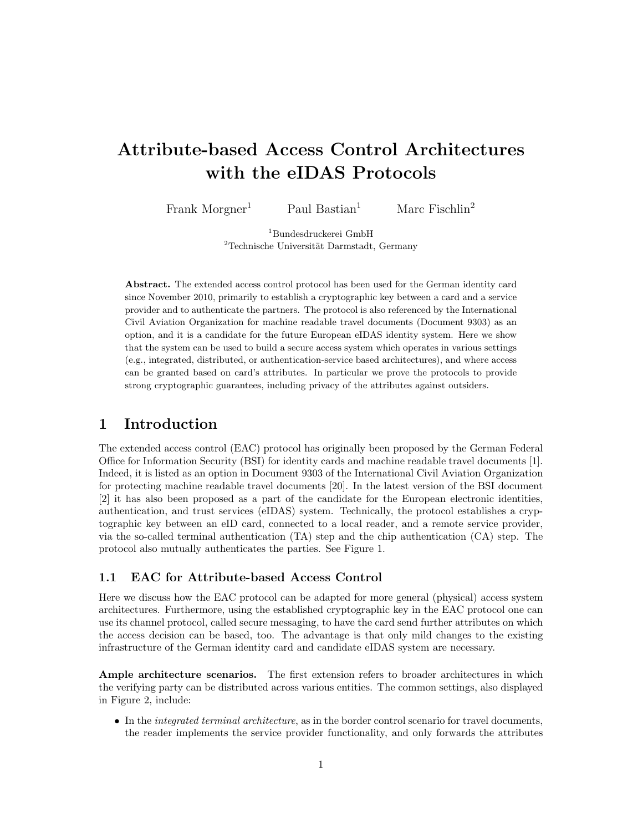# Attribute-based Access Control Architectures with the eIDAS Protocols

Frank Morgner<sup>1</sup> Paul Bastian<sup>1</sup> Marc Fischlin<sup>2</sup>

<sup>1</sup>Bundesdruckerei GmbH  $2$ Technische Universität Darmstadt, Germany

Abstract. The extended access control protocol has been used for the German identity card since November 2010, primarily to establish a cryptographic key between a card and a service provider and to authenticate the partners. The protocol is also referenced by the International Civil Aviation Organization for machine readable travel documents (Document 9303) as an option, and it is a candidate for the future European eIDAS identity system. Here we show that the system can be used to build a secure access system which operates in various settings (e.g., integrated, distributed, or authentication-service based architectures), and where access can be granted based on card's attributes. In particular we prove the protocols to provide strong cryptographic guarantees, including privacy of the attributes against outsiders.

# 1 Introduction

The extended access control (EAC) protocol has originally been proposed by the German Federal Office for Information Security (BSI) for identity cards and machine readable travel documents [1]. Indeed, it is listed as an option in Document 9303 of the International Civil Aviation Organization for protecting machine readable travel documents [20]. In the latest version of the BSI document [2] it has also been proposed as a part of the candidate for the European electronic identities, authentication, and trust services (eIDAS) system. Technically, the protocol establishes a cryptographic key between an eID card, connected to a local reader, and a remote service provider, via the so-called terminal authentication (TA) step and the chip authentication (CA) step. The protocol also mutually authenticates the parties. See Figure 1.

### 1.1 EAC for Attribute-based Access Control

Here we discuss how the EAC protocol can be adapted for more general (physical) access system architectures. Furthermore, using the established cryptographic key in the EAC protocol one can use its channel protocol, called secure messaging, to have the card send further attributes on which the access decision can be based, too. The advantage is that only mild changes to the existing infrastructure of the German identity card and candidate eIDAS system are necessary.

Ample architecture scenarios. The first extension refers to broader architectures in which the verifying party can be distributed across various entities. The common settings, also displayed in Figure 2, include:

• In the integrated terminal architecture, as in the border control scenario for travel documents, the reader implements the service provider functionality, and only forwards the attributes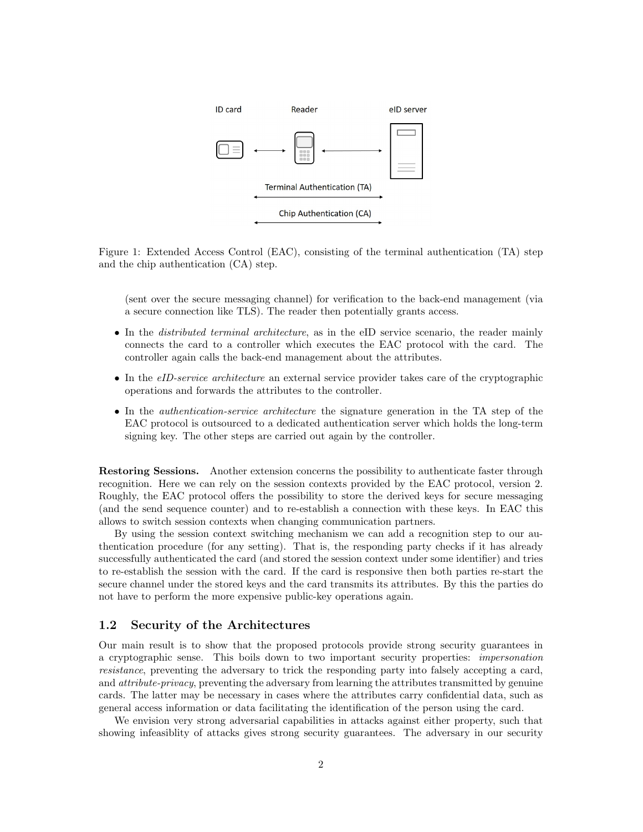

Figure 1: Extended Access Control (EAC), consisting of the terminal authentication (TA) step and the chip authentication (CA) step.

(sent over the secure messaging channel) for verification to the back-end management (via a secure connection like TLS). The reader then potentially grants access.

- In the *distributed terminal architecture*, as in the eID service scenario, the reader mainly connects the card to a controller which executes the EAC protocol with the card. The controller again calls the back-end management about the attributes.
- In the *eID-service architecture* an external service provider takes care of the cryptographic operations and forwards the attributes to the controller.
- In the authentication-service architecture the signature generation in the TA step of the EAC protocol is outsourced to a dedicated authentication server which holds the long-term signing key. The other steps are carried out again by the controller.

Restoring Sessions. Another extension concerns the possibility to authenticate faster through recognition. Here we can rely on the session contexts provided by the EAC protocol, version 2. Roughly, the EAC protocol offers the possibility to store the derived keys for secure messaging (and the send sequence counter) and to re-establish a connection with these keys. In EAC this allows to switch session contexts when changing communication partners.

By using the session context switching mechanism we can add a recognition step to our authentication procedure (for any setting). That is, the responding party checks if it has already successfully authenticated the card (and stored the session context under some identifier) and tries to re-establish the session with the card. If the card is responsive then both parties re-start the secure channel under the stored keys and the card transmits its attributes. By this the parties do not have to perform the more expensive public-key operations again.

#### 1.2 Security of the Architectures

Our main result is to show that the proposed protocols provide strong security guarantees in a cryptographic sense. This boils down to two important security properties: impersonation resistance, preventing the adversary to trick the responding party into falsely accepting a card, and *attribute-privacy*, preventing the adversary from learning the attributes transmitted by genuine cards. The latter may be necessary in cases where the attributes carry confidential data, such as general access information or data facilitating the identification of the person using the card.

We envision very strong adversarial capabilities in attacks against either property, such that showing infeasiblity of attacks gives strong security guarantees. The adversary in our security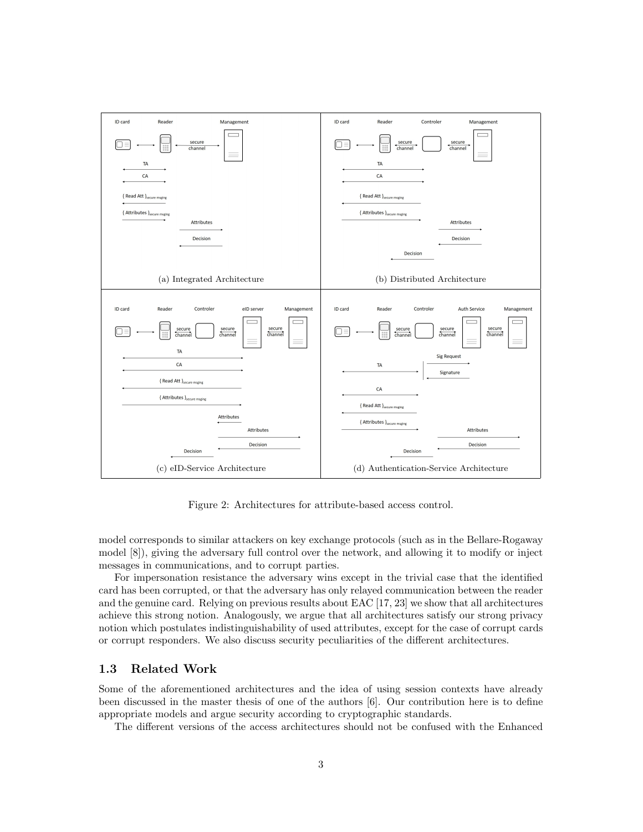

Figure 2: Architectures for attribute-based access control.

model corresponds to similar attackers on key exchange protocols (such as in the Bellare-Rogaway model [8]), giving the adversary full control over the network, and allowing it to modify or inject messages in communications, and to corrupt parties.

For impersonation resistance the adversary wins except in the trivial case that the identified card has been corrupted, or that the adversary has only relayed communication between the reader and the genuine card. Relying on previous results about EAC [17, 23] we show that all architectures achieve this strong notion. Analogously, we argue that all architectures satisfy our strong privacy notion which postulates indistinguishability of used attributes, except for the case of corrupt cards or corrupt responders. We also discuss security peculiarities of the different architectures.

### 1.3 Related Work

Some of the aforementioned architectures and the idea of using session contexts have already been discussed in the master thesis of one of the authors [6]. Our contribution here is to define appropriate models and argue security according to cryptographic standards.

The different versions of the access architectures should not be confused with the Enhanced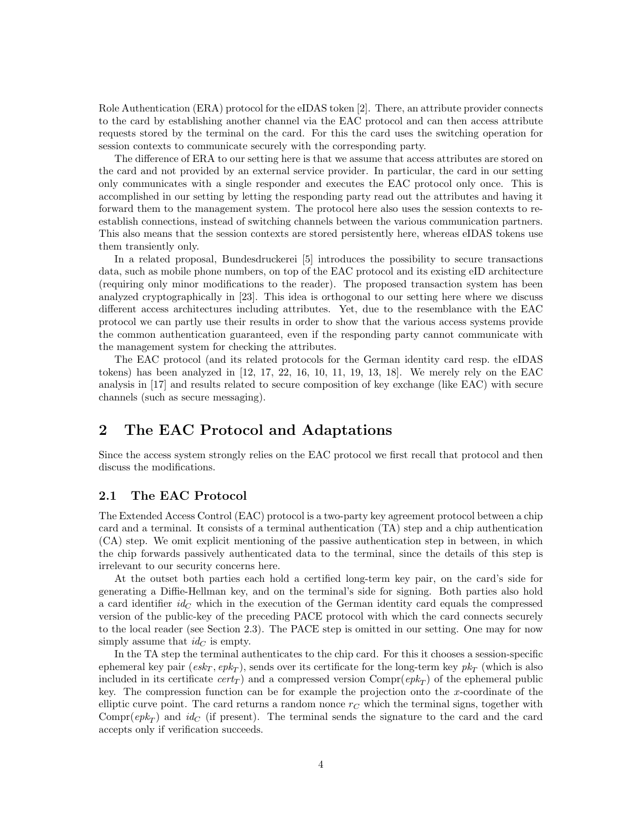Role Authentication (ERA) protocol for the eIDAS token [2]. There, an attribute provider connects to the card by establishing another channel via the EAC protocol and can then access attribute requests stored by the terminal on the card. For this the card uses the switching operation for session contexts to communicate securely with the corresponding party.

The difference of ERA to our setting here is that we assume that access attributes are stored on the card and not provided by an external service provider. In particular, the card in our setting only communicates with a single responder and executes the EAC protocol only once. This is accomplished in our setting by letting the responding party read out the attributes and having it forward them to the management system. The protocol here also uses the session contexts to reestablish connections, instead of switching channels between the various communication partners. This also means that the session contexts are stored persistently here, whereas eIDAS tokens use them transiently only.

In a related proposal, Bundesdruckerei [5] introduces the possibility to secure transactions data, such as mobile phone numbers, on top of the EAC protocol and its existing eID architecture (requiring only minor modifications to the reader). The proposed transaction system has been analyzed cryptographically in [23]. This idea is orthogonal to our setting here where we discuss different access architectures including attributes. Yet, due to the resemblance with the EAC protocol we can partly use their results in order to show that the various access systems provide the common authentication guaranteed, even if the responding party cannot communicate with the management system for checking the attributes.

The EAC protocol (and its related protocols for the German identity card resp. the eIDAS tokens) has been analyzed in [12, 17, 22, 16, 10, 11, 19, 13, 18]. We merely rely on the EAC analysis in [17] and results related to secure composition of key exchange (like EAC) with secure channels (such as secure messaging).

# 2 The EAC Protocol and Adaptations

Since the access system strongly relies on the EAC protocol we first recall that protocol and then discuss the modifications.

### 2.1 The EAC Protocol

The Extended Access Control (EAC) protocol is a two-party key agreement protocol between a chip card and a terminal. It consists of a terminal authentication (TA) step and a chip authentication (CA) step. We omit explicit mentioning of the passive authentication step in between, in which the chip forwards passively authenticated data to the terminal, since the details of this step is irrelevant to our security concerns here.

At the outset both parties each hold a certified long-term key pair, on the card's side for generating a Diffie-Hellman key, and on the terminal's side for signing. Both parties also hold a card identifier  $id<sub>C</sub>$  which in the execution of the German identity card equals the compressed version of the public-key of the preceding PACE protocol with which the card connects securely to the local reader (see Section 2.3). The PACE step is omitted in our setting. One may for now simply assume that  $id_C$  is empty.

In the TA step the terminal authenticates to the chip card. For this it chooses a session-specific ephemeral key pair  $(esk_T, epk_T)$ , sends over its certificate for the long-term key  $pk_T$  (which is also included in its certificate  $cert_T$ ) and a compressed version  $Compr(epk_T)$  of the ephemeral public key. The compression function can be for example the projection onto the  $x$ -coordinate of the elliptic curve point. The card returns a random nonce  $r<sub>C</sub>$  which the terminal signs, together with Compr $(epk_T)$  and  $id_C$  (if present). The terminal sends the signature to the card and the card accepts only if verification succeeds.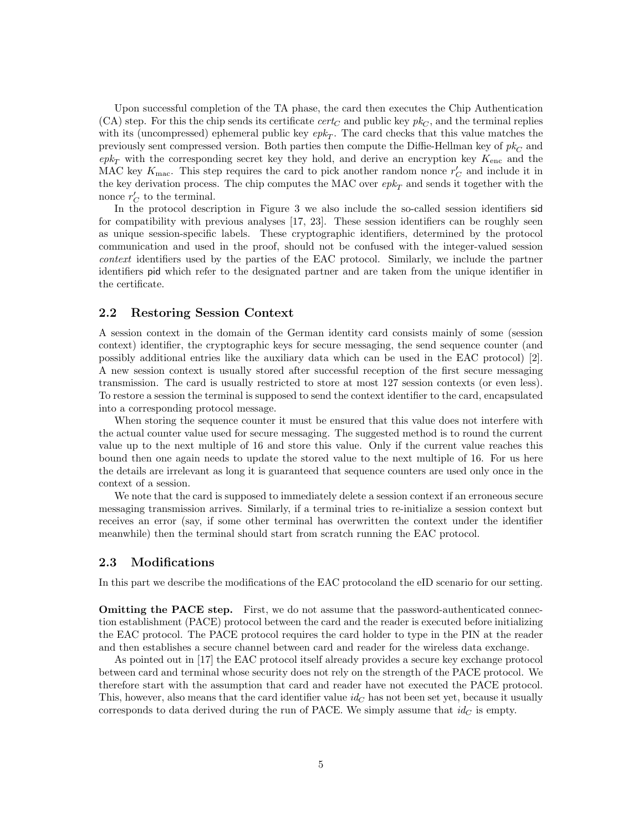Upon successful completion of the TA phase, the card then executes the Chip Authentication (CA) step. For this the chip sends its certificate cert<sub>C</sub> and public key  $pk_C$ , and the terminal replies with its (uncompressed) ephemeral public key  $epk_T$ . The card checks that this value matches the previously sent compressed version. Both parties then compute the Diffie-Hellman key of  $pk<sub>C</sub>$  and  $epk_T$  with the corresponding secret key they hold, and derive an encryption key  $K_{\text{enc}}$  and the MAC key  $K_{\text{mac}}$ . This step requires the card to pick another random nonce  $r'_C$  and include it in the key derivation process. The chip computes the MAC over  $epk<sub>T</sub>$  and sends it together with the nonce  $r'_C$  to the terminal.

In the protocol description in Figure 3 we also include the so-called session identifiers sid for compatibility with previous analyses [17, 23]. These session identifiers can be roughly seen as unique session-specific labels. These cryptographic identifiers, determined by the protocol communication and used in the proof, should not be confused with the integer-valued session context identifiers used by the parties of the EAC protocol. Similarly, we include the partner identifiers pid which refer to the designated partner and are taken from the unique identifier in the certificate.

#### 2.2 Restoring Session Context

A session context in the domain of the German identity card consists mainly of some (session context) identifier, the cryptographic keys for secure messaging, the send sequence counter (and possibly additional entries like the auxiliary data which can be used in the EAC protocol) [2]. A new session context is usually stored after successful reception of the first secure messaging transmission. The card is usually restricted to store at most 127 session contexts (or even less). To restore a session the terminal is supposed to send the context identifier to the card, encapsulated into a corresponding protocol message.

When storing the sequence counter it must be ensured that this value does not interfere with the actual counter value used for secure messaging. The suggested method is to round the current value up to the next multiple of 16 and store this value. Only if the current value reaches this bound then one again needs to update the stored value to the next multiple of 16. For us here the details are irrelevant as long it is guaranteed that sequence counters are used only once in the context of a session.

We note that the card is supposed to immediately delete a session context if an erroneous secure messaging transmission arrives. Similarly, if a terminal tries to re-initialize a session context but receives an error (say, if some other terminal has overwritten the context under the identifier meanwhile) then the terminal should start from scratch running the EAC protocol.

### 2.3 Modifications

In this part we describe the modifications of the EAC protocoland the eID scenario for our setting.

**Omitting the PACE step.** First, we do not assume that the password-authenticated connection establishment (PACE) protocol between the card and the reader is executed before initializing the EAC protocol. The PACE protocol requires the card holder to type in the PIN at the reader and then establishes a secure channel between card and reader for the wireless data exchange.

As pointed out in [17] the EAC protocol itself already provides a secure key exchange protocol between card and terminal whose security does not rely on the strength of the PACE protocol. We therefore start with the assumption that card and reader have not executed the PACE protocol. This, however, also means that the card identifier value  $id<sub>C</sub>$  has not been set yet, because it usually corresponds to data derived during the run of PACE. We simply assume that  $id_C$  is empty.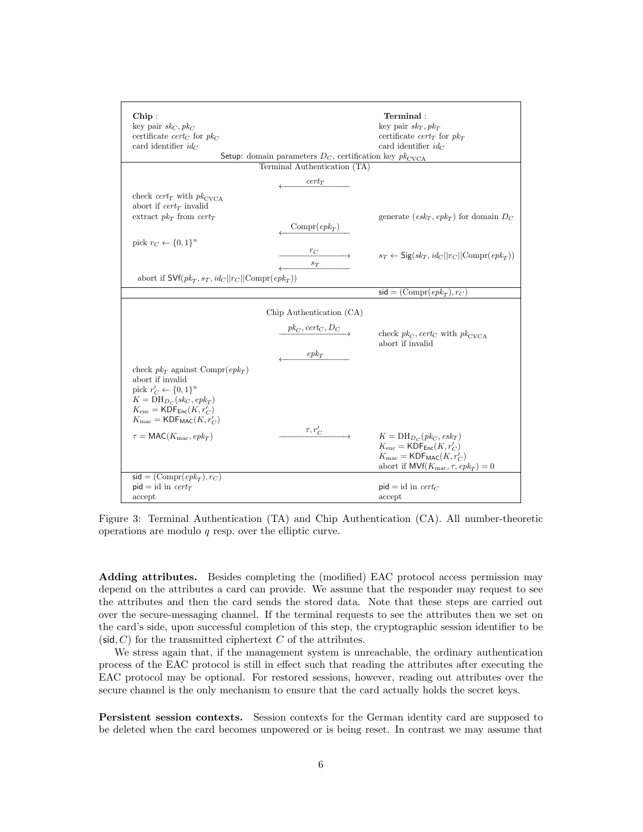

Figure 3: Terminal Authentication (TA) and Chip Authentication (CA). All number-theoretic operations are modulo  $q$  resp. over the elliptic curve.

Adding attributes. Besides completing the (modified) EAC protocol access permission may depend on the attributes a card can provide. We assume that the responder may request to see the attributes and then the card sends the stored data. Note that these steps are carried out over the secure-messaging channel. If the terminal requests to see the attributes then we set on the card's side, upon successful completion of this step, the cryptographic session identifier to be  $(\text{sid}, C)$  for the transmitted ciphertext C of the attributes.

We stress again that, if the management system is unreachable, the ordinary authentication process of the EAC protocol is still in effect such that reading the attributes after executing the EAC protocol may be optional. For restored sessions, however, reading out attributes over the secure channel is the only mechanism to ensure that the card actually holds the secret keys.

Persistent session contexts. Session contexts for the German identity card are supposed to be deleted when the card becomes unpowered or is being reset. In contrast we may assume that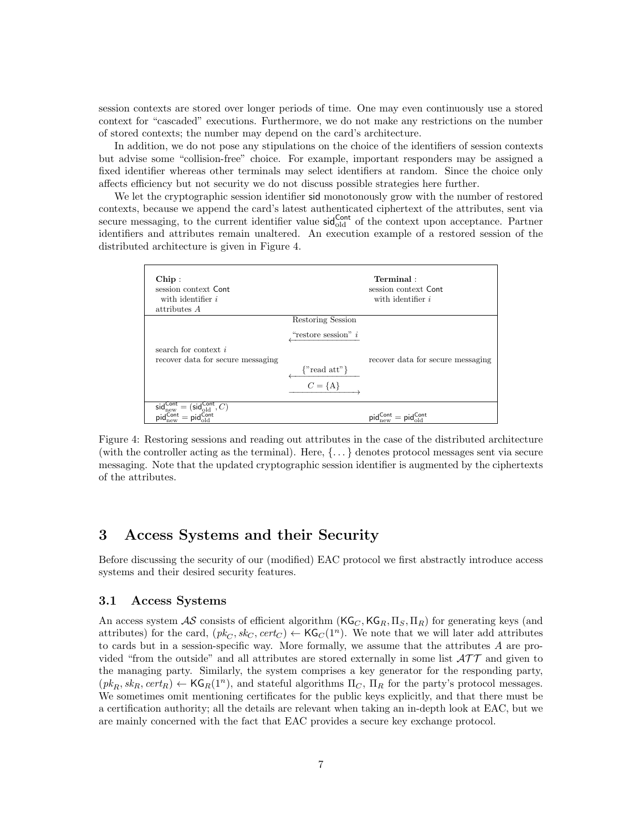session contexts are stored over longer periods of time. One may even continuously use a stored context for "cascaded" executions. Furthermore, we do not make any restrictions on the number of stored contexts; the number may depend on the card's architecture.

In addition, we do not pose any stipulations on the choice of the identifiers of session contexts but advise some "collision-free" choice. For example, important responders may be assigned a fixed identifier whereas other terminals may select identifiers at random. Since the choice only affects efficiency but not security we do not discuss possible strategies here further.

We let the cryptographic session identifier sid monotonously grow with the number of restored contexts, because we append the card's latest authenticated ciphertext of the attributes, sent via secure messaging, to the current identifier value  $\mathsf{sid}_{\mathsf{old}}^{\mathsf{Cont}}$  of the context upon acceptance. Partner identifiers and attributes remain unaltered. An execution example of a restored session of the distributed architecture is given in Figure 4.



Figure 4: Restoring sessions and reading out attributes in the case of the distributed architecture (with the controller acting as the terminal). Here,  $\{\ldots\}$  denotes protocol messages sent via secure messaging. Note that the updated cryptographic session identifier is augmented by the ciphertexts of the attributes.

# 3 Access Systems and their Security

Before discussing the security of our (modified) EAC protocol we first abstractly introduce access systems and their desired security features.

### 3.1 Access Systems

An access system  $\mathcal{AS}$  consists of efficient algorithm  $(KG_C, KG_R, \Pi_S, \Pi_R)$  for generating keys (and attributes) for the card,  $(pk_C, sk_C, cert_C) \leftarrow {\sf KG}_C(1^n)$ . We note that we will later add attributes to cards but in a session-specific way. More formally, we assume that the attributes A are provided "from the outside" and all attributes are stored externally in some list  $\mathcal{ATT}$  and given to the managing party. Similarly, the system comprises a key generator for the responding party,  $(pk_R, sk_R, cert_R) \leftarrow {\sf KG}_R(1^n)$ , and stateful algorithms  $\Pi_C$ ,  $\Pi_R$  for the party's protocol messages. We sometimes omit mentioning certificates for the public keys explicitly, and that there must be a certification authority; all the details are relevant when taking an in-depth look at EAC, but we are mainly concerned with the fact that EAC provides a secure key exchange protocol.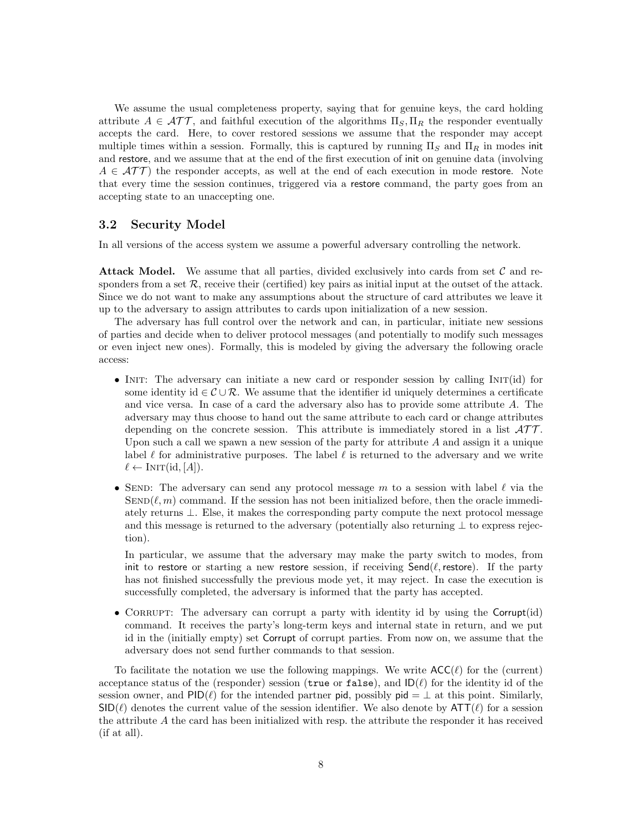We assume the usual completeness property, saying that for genuine keys, the card holding attribute  $A \in \mathcal{ATT}$ , and faithful execution of the algorithms  $\Pi_S, \Pi_R$  the responder eventually accepts the card. Here, to cover restored sessions we assume that the responder may accept multiple times within a session. Formally, this is captured by running  $\Pi_S$  and  $\Pi_R$  in modes init and restore, and we assume that at the end of the first execution of init on genuine data (involving  $A \in \mathcal{ATT}$  the responder accepts, as well at the end of each execution in mode restore. Note that every time the session continues, triggered via a restore command, the party goes from an accepting state to an unaccepting one.

### 3.2 Security Model

In all versions of the access system we assume a powerful adversary controlling the network.

**Attack Model.** We assume that all parties, divided exclusively into cards from set  $C$  and responders from a set  $\mathcal{R}$ , receive their (certified) key pairs as initial input at the outset of the attack. Since we do not want to make any assumptions about the structure of card attributes we leave it up to the adversary to assign attributes to cards upon initialization of a new session.

The adversary has full control over the network and can, in particular, initiate new sessions of parties and decide when to deliver protocol messages (and potentially to modify such messages or even inject new ones). Formally, this is modeled by giving the adversary the following oracle access:

- INIT: The adversary can initiate a new card or responder session by calling  $INT(id)$  for some identity id  $\in \mathcal{C} \cup \mathcal{R}$ . We assume that the identifier id uniquely determines a certificate and vice versa. In case of a card the adversary also has to provide some attribute A. The adversary may thus choose to hand out the same attribute to each card or change attributes depending on the concrete session. This attribute is immediately stored in a list  $\mathcal{ATT}$ . Upon such a call we spawn a new session of the party for attribute  $A$  and assign it a unique label  $\ell$  for administrative purposes. The label  $\ell$  is returned to the adversary and we write  $\ell \leftarrow \text{INIT}(\text{id}, [A]).$
- SEND: The adversary can send any protocol message m to a session with label  $\ell$  via the  $\text{SEND}(\ell, m)$  command. If the session has not been initialized before, then the oracle immediately returns ⊥. Else, it makes the corresponding party compute the next protocol message and this message is returned to the adversary (potentially also returning  $\perp$  to express rejection).

In particular, we assume that the adversary may make the party switch to modes, from init to restore or starting a new restore session, if receiving  $Send(\ell,restore)$ . If the party has not finished successfully the previous mode yet, it may reject. In case the execution is successfully completed, the adversary is informed that the party has accepted.

• CORRUPT: The adversary can corrupt a party with identity id by using the Corrupt(id) command. It receives the party's long-term keys and internal state in return, and we put id in the (initially empty) set Corrupt of corrupt parties. From now on, we assume that the adversary does not send further commands to that session.

To facilitate the notation we use the following mappings. We write  $ACC(\ell)$  for the (current) acceptance status of the (responder) session ( $true$  or false), and  $ID(\ell)$  for the identity id of the session owner, and PID( $\ell$ ) for the intended partner pid, possibly pid =  $\perp$  at this point. Similarly,  $\mathsf{SID}(\ell)$  denotes the current value of the session identifier. We also denote by  $\mathsf{ATT}(\ell)$  for a session the attribute A the card has been initialized with resp. the attribute the responder it has received (if at all).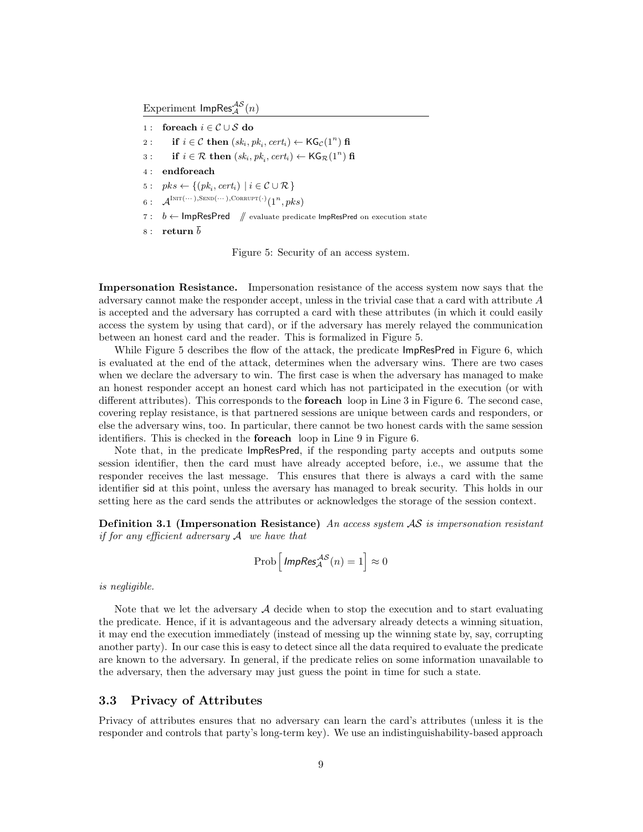Experiment  $\mathsf{ImpRes}_{\mathcal{A}}^{\mathcal{AS}}(n)$ 

- 1 : foreach  $i \in \mathcal{C} \cup \mathcal{S}$  do
- 2: if  $i \in \mathcal{C}$  then  $(sk_i, pk_i, cert_i) \leftarrow \mathsf{KG}_{\mathcal{C}}(1^n)$  fi
- 3: if  $i \in \mathcal{R}$  then  $(\mathit{sk}_i, \mathit{pk}_i, \mathit{cert}_i) \leftarrow \mathsf{KG}_{\mathcal{R}}(1^n)$  fi
- 4 : endforeach
- 5 :  $pks \leftarrow \{(pk_i, cert_i) \mid i \in C \cup \mathcal{R}\}\$
- 6 :  $\mathcal{A}^{\text{INIT}(\cdots),\text{SenD}(\cdots),\text{Corrupt}(\cdot)}(1^n,pks)$
- 7 :  $b \leftarrow$  ImpResPred ∥ evaluate predicate ImpResPred on execution state
- 8 : return  $\overline{b}$

Figure 5: Security of an access system.

Impersonation Resistance. Impersonation resistance of the access system now says that the adversary cannot make the responder accept, unless in the trivial case that a card with attribute A is accepted and the adversary has corrupted a card with these attributes (in which it could easily access the system by using that card), or if the adversary has merely relayed the communication between an honest card and the reader. This is formalized in Figure 5.

While Figure 5 describes the flow of the attack, the predicate ImpResPred in Figure 6, which is evaluated at the end of the attack, determines when the adversary wins. There are two cases when we declare the adversary to win. The first case is when the adversary has managed to make an honest responder accept an honest card which has not participated in the execution (or with different attributes). This corresponds to the **foreach** loop in Line 3 in Figure 6. The second case, covering replay resistance, is that partnered sessions are unique between cards and responders, or else the adversary wins, too. In particular, there cannot be two honest cards with the same session identifiers. This is checked in the foreach loop in Line 9 in Figure 6.

Note that, in the predicate ImpResPred, if the responding party accepts and outputs some session identifier, then the card must have already accepted before, i.e., we assume that the responder receives the last message. This ensures that there is always a card with the same identifier sid at this point, unless the aversary has managed to break security. This holds in our setting here as the card sends the attributes or acknowledges the storage of the session context.

**Definition 3.1 (Impersonation Resistance)** An access system  $AS$  is impersonation resistant if for any efficient adversary A we have that

$$
Prob\left[ImpRes_{\mathcal{A}}^{\mathcal{AS}}(n)=1\right]\approx 0
$$

is negligible.

Note that we let the adversary  $A$  decide when to stop the execution and to start evaluating the predicate. Hence, if it is advantageous and the adversary already detects a winning situation, it may end the execution immediately (instead of messing up the winning state by, say, corrupting another party). In our case this is easy to detect since all the data required to evaluate the predicate are known to the adversary. In general, if the predicate relies on some information unavailable to the adversary, then the adversary may just guess the point in time for such a state.

#### 3.3 Privacy of Attributes

Privacy of attributes ensures that no adversary can learn the card's attributes (unless it is the responder and controls that party's long-term key). We use an indistinguishability-based approach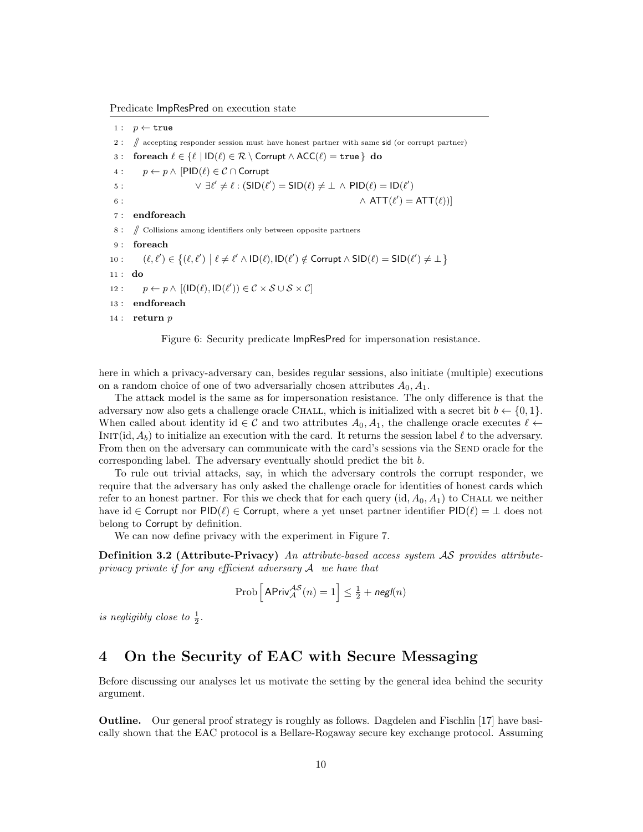Predicate ImpResPred on execution state

1 :  $p \leftarrow \texttt{true}$ 

- 2 : // accepting responder session must have honest partner with same sid (or corrupt partner)
- 3 : foreach  $\ell \in \{ \ell \mid ID(\ell) \in \mathcal{R} \setminus$  Corrupt  $\wedge$  ACC $(\ell) =$  true  $\}$  do
- $4: p \leftarrow p \wedge [\text{PID}(\ell) \in \mathcal{C} \cap \text{Corrupt}]$
- 5 :  $\forall \exists \ell' \neq \ell : (\mathsf{SID}(\ell') = \mathsf{SID}(\ell) \neq \bot \land \mathsf{PID}(\ell) = \mathsf{ID}(\ell')$

$$
6: \qquad \qquad \wedge \, \text{ATT}(\ell') = \text{ATT}(\ell))
$$

7 : endforeach

8 : // Collisions among identifiers only between opposite partners

- 9: foreach
- 10:  $(\ell, \ell') \in \{(\ell, \ell') \mid \ell \neq \ell' \land \mathsf{ID}(\ell), \mathsf{ID}(\ell') \notin \mathsf{Corrupt} \land \mathsf{SID}(\ell) = \mathsf{SID}(\ell') \neq \bot\}$
- 11 : do
- 12:  $p \leftarrow p \land [(\mathsf{ID}(\ell), \mathsf{ID}(\ell')) \in \mathcal{C} \times \mathcal{S} \cup \mathcal{S} \times \mathcal{C}]$
- 13 : endforeach
- 14 : return  $p$

Figure 6: Security predicate ImpResPred for impersonation resistance.

here in which a privacy-adversary can, besides regular sessions, also initiate (multiple) executions on a random choice of one of two adversarially chosen attributes  $A_0, A_1$ .

The attack model is the same as for impersonation resistance. The only difference is that the adversary now also gets a challenge oracle CHALL, which is initialized with a secret bit  $b \leftarrow \{0, 1\}$ . When called about identity id  $\in \mathcal{C}$  and two attributes  $A_0, A_1$ , the challenge oracle executes  $\ell \leftarrow$ INIT(id,  $A_b$ ) to initialize an execution with the card. It returns the session label  $\ell$  to the adversary. From then on the adversary can communicate with the card's sessions via the SEND oracle for the corresponding label. The adversary eventually should predict the bit b.

To rule out trivial attacks, say, in which the adversary controls the corrupt responder, we require that the adversary has only asked the challenge oracle for identities of honest cards which refer to an honest partner. For this we check that for each query  $(id, A_0, A_1)$  to CHALL we neither have id ∈ Corrupt nor PID( $\ell$ ) ∈ Corrupt, where a yet unset partner identifier PID( $\ell$ ) =  $\perp$  does not belong to Corrupt by definition.

We can now define privacy with the experiment in Figure 7.

Definition 3.2 (Attribute-Privacy) An attribute-based access system AS provides attributeprivacy private if for any efficient adversary A we have that

$$
\textrm{Prob}\Big[\, \mathsf{APriv}_{\mathcal{A}}^{\mathcal{AS}}(n) = 1 \Big] \leq \tfrac{1}{2} + \mathsf{negl}(n)
$$

is negligibly close to  $\frac{1}{2}$ .

### 4 On the Security of EAC with Secure Messaging

Before discussing our analyses let us motivate the setting by the general idea behind the security argument.

Outline. Our general proof strategy is roughly as follows. Dagdelen and Fischlin [17] have basically shown that the EAC protocol is a Bellare-Rogaway secure key exchange protocol. Assuming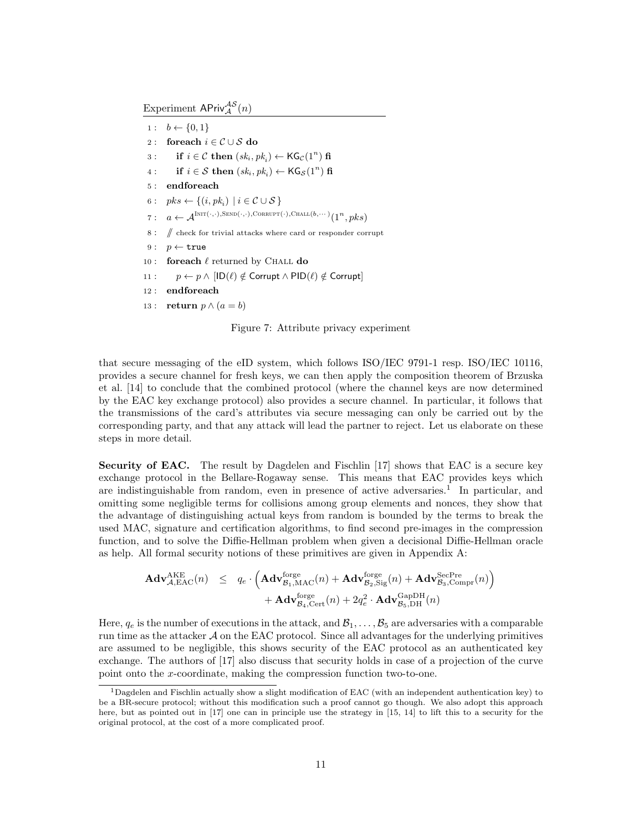Experiment APriv ${}_{\mathcal{A}}^{\mathcal{AS}}(n)$ 

 $1: b \leftarrow \{0, 1\}$ 2 : foreach  $i \in \mathcal{C} \cup \mathcal{S}$  do 3: if  $i \in \mathcal{C}$  then  $(sk_i, pk_i) \leftarrow \mathsf{KG}_{\mathcal{C}}(1^n)$  fi 4: if  $i \in S$  then  $(sk_i, pk_i) \leftarrow {\sf KG}_S(1^n)$  fi 5 : endforeach 6 :  $pks \leftarrow \{(i, pk_i) \mid i \in \mathcal{C} \cup \mathcal{S}\}\$ 7 :  $a \leftarrow \mathcal{A}^{\text{INIT}(\cdot, \cdot), \text{SEND}(\cdot, \cdot), \text{CORRUPT}(\cdot), \text{CHALL}(b, \cdots)}(1^n, pks)$  $\mathcal N$  check for trivial attacks where card or responder corrupt  $9: p \leftarrow true$ 10 : foreach  $\ell$  returned by CHALL do 11 :  $p \leftarrow p \wedge [ID(\ell) \notin \text{Corrupt} \wedge PID(\ell) \notin \text{Corrupt}]$ 12 : endforeach 13 : return  $p \wedge (a = b)$ 

Figure 7: Attribute privacy experiment

that secure messaging of the eID system, which follows ISO/IEC 9791-1 resp. ISO/IEC 10116, provides a secure channel for fresh keys, we can then apply the composition theorem of Brzuska et al. [14] to conclude that the combined protocol (where the channel keys are now determined by the EAC key exchange protocol) also provides a secure channel. In particular, it follows that the transmissions of the card's attributes via secure messaging can only be carried out by the corresponding party, and that any attack will lead the partner to reject. Let us elaborate on these steps in more detail.

Security of EAC. The result by Dagdelen and Fischlin [17] shows that EAC is a secure key exchange protocol in the Bellare-Rogaway sense. This means that EAC provides keys which are indistinguishable from random, even in presence of active adversaries.<sup>1</sup> In particular, and omitting some negligible terms for collisions among group elements and nonces, they show that the advantage of distinguishing actual keys from random is bounded by the terms to break the used MAC, signature and certification algorithms, to find second pre-images in the compression function, and to solve the Diffie-Hellman problem when given a decisional Diffie-Hellman oracle as help. All formal security notions of these primitives are given in Appendix A:

$$
\begin{array}{rcl}\n\mathbf{Adv}_{\mathcal{A},\mathrm{EAC}}^{\mathrm{AKE}}(n) & \leq & q_e \cdot \left( \mathbf{Adv}_{\mathcal{B}_1,\mathrm{MAC}}^{\mathrm{torge}}(n) + \mathbf{Adv}_{\mathcal{B}_2,\mathrm{Sig}}^{\mathrm{fore}}(n) + \mathbf{Adv}_{\mathcal{B}_3,\mathrm{Compr}}^{\mathrm{SeePre}}(n) \right) \\
& & + \mathbf{Adv}_{\mathcal{B}_4,\mathrm{Cert}}^{\mathrm{fore}}(n) + 2q_e^2 \cdot \mathbf{Adv}_{\mathcal{B}_5,\mathrm{DH}}^{\mathrm{GapDH}}(n)\n\end{array}
$$

Here,  $q_e$  is the number of executions in the attack, and  $\mathcal{B}_1, \ldots, \mathcal{B}_5$  are adversaries with a comparable run time as the attacker  $A$  on the EAC protocol. Since all advantages for the underlying primitives are assumed to be negligible, this shows security of the EAC protocol as an authenticated key exchange. The authors of [17] also discuss that security holds in case of a projection of the curve point onto the x-coordinate, making the compression function two-to-one.

 $1$ Dagdelen and Fischlin actually show a slight modification of EAC (with an independent authentication key) to be a BR-secure protocol; without this modification such a proof cannot go though. We also adopt this approach here, but as pointed out in [17] one can in principle use the strategy in [15, 14] to lift this to a security for the original protocol, at the cost of a more complicated proof.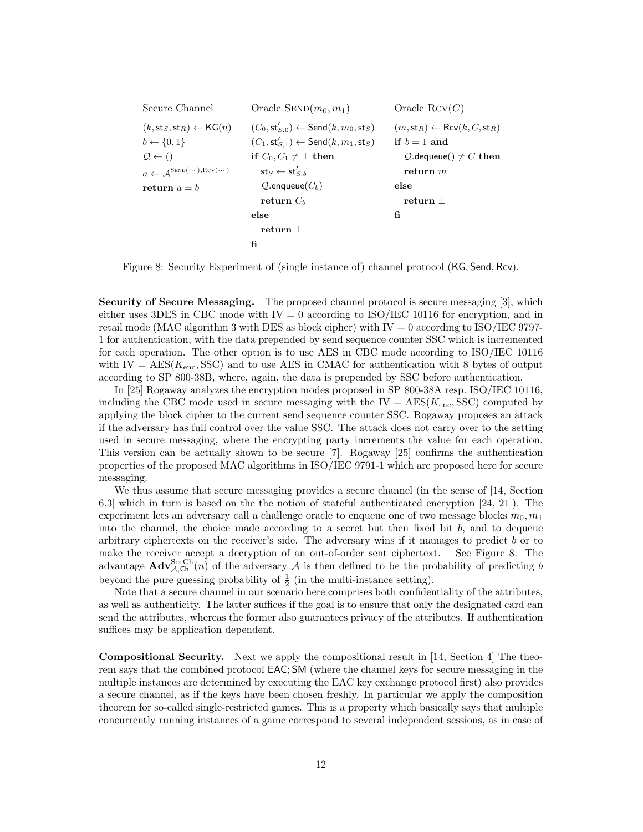| Secure Channel                                                       | Oracle $SEND(m_0, m_1)$                                                     | Oracle $RCV(C)$                                                   |
|----------------------------------------------------------------------|-----------------------------------------------------------------------------|-------------------------------------------------------------------|
| $(k, \mathsf{st}_S, \mathsf{st}_R) \leftarrow \mathsf{KG}(n)$        | $(C_0, \mathsf{st}'_{S,0}) \leftarrow \mathsf{Send}(k,m_0,\mathsf{st}_S)$   | $(m, \mathsf{st}_R) \leftarrow \mathsf{Rcv}(k, C, \mathsf{st}_R)$ |
| $b \leftarrow \{0, 1\}$                                              | $(C_1, \mathsf{st}'_{S,1}) \leftarrow \mathsf{Send}(k, m_1, \mathsf{st}_S)$ | if $b=1$ and                                                      |
| $\mathcal{Q} \leftarrow \left( \right)$                              | if $C_0, C_1 \neq \perp$ then                                               | Q.dequeue() $\neq C$ then                                         |
| $a \leftarrow \mathcal{A}^{\text{SEND}(\cdots), \text{RCV}(\cdots)}$ | $\mathsf{st}_S \leftarrow \mathsf{st}'_{S.b}$                               | return $m$                                                        |
| return $a = b$                                                       | Q.enqueue $(C_b)$                                                           | else                                                              |
|                                                                      | return $C_b$                                                                | $return \perp$                                                    |
|                                                                      | else                                                                        | fi                                                                |
|                                                                      | return $\perp$                                                              |                                                                   |
|                                                                      | fi                                                                          |                                                                   |

Figure 8: Security Experiment of (single instance of) channel protocol (KG, Send, Rcv).

Security of Secure Messaging. The proposed channel protocol is secure messaging [3], which either uses 3DES in CBC mode with  $IV = 0$  according to ISO/IEC 10116 for encryption, and in retail mode (MAC algorithm 3 with DES as block cipher) with  $IV = 0$  according to ISO/IEC 9797-1 for authentication, with the data prepended by send sequence counter SSC which is incremented for each operation. The other option is to use AES in CBC mode according to ISO/IEC 10116 with IV =  $\text{AES}(K_{\text{enc}}, \text{SSC})$  and to use AES in CMAC for authentication with 8 bytes of output according to SP 800-38B, where, again, the data is prepended by SSC before authentication.

In [25] Rogaway analyzes the encryption modes proposed in SP 800-38A resp. ISO/IEC 10116, including the CBC mode used in secure messaging with the  $IV = \text{AES}(K_{\text{enc}}, \text{SSC})$  computed by applying the block cipher to the current send sequence counter SSC. Rogaway proposes an attack if the adversary has full control over the value SSC. The attack does not carry over to the setting used in secure messaging, where the encrypting party increments the value for each operation. This version can be actually shown to be secure [7]. Rogaway [25] confirms the authentication properties of the proposed MAC algorithms in ISO/IEC 9791-1 which are proposed here for secure messaging.

We thus assume that secure messaging provides a secure channel (in the sense of [14, Section 6.3] which in turn is based on the the notion of stateful authenticated encryption [24, 21]). The experiment lets an adversary call a challenge oracle to enqueue one of two message blocks  $m_0$ ,  $m_1$ into the channel, the choice made according to a secret but then fixed bit  $b$ , and to dequeue arbitrary ciphertexts on the receiver's side. The adversary wins if it manages to predict  $b$  or to make the receiver accept a decryption of an out-of-order sent ciphertext. See Figure 8. The advantage  $\mathbf{Adv}_{\mathcal{A},\mathsf{Ch}}^{\text{SecCh}}(n)$  of the adversary  $\mathcal A$  is then defined to be the probability of predicting b beyond the pure guessing probability of  $\frac{1}{2}$  (in the multi-instance setting).

Note that a secure channel in our scenario here comprises both confidentiality of the attributes, as well as authenticity. The latter suffices if the goal is to ensure that only the designated card can send the attributes, whereas the former also guarantees privacy of the attributes. If authentication suffices may be application dependent.

Compositional Security. Next we apply the compositional result in [14, Section 4] The theorem says that the combined protocol EAC; SM (where the channel keys for secure messaging in the multiple instances are determined by executing the EAC key exchange protocol first) also provides a secure channel, as if the keys have been chosen freshly. In particular we apply the composition theorem for so-called single-restricted games. This is a property which basically says that multiple concurrently running instances of a game correspond to several independent sessions, as in case of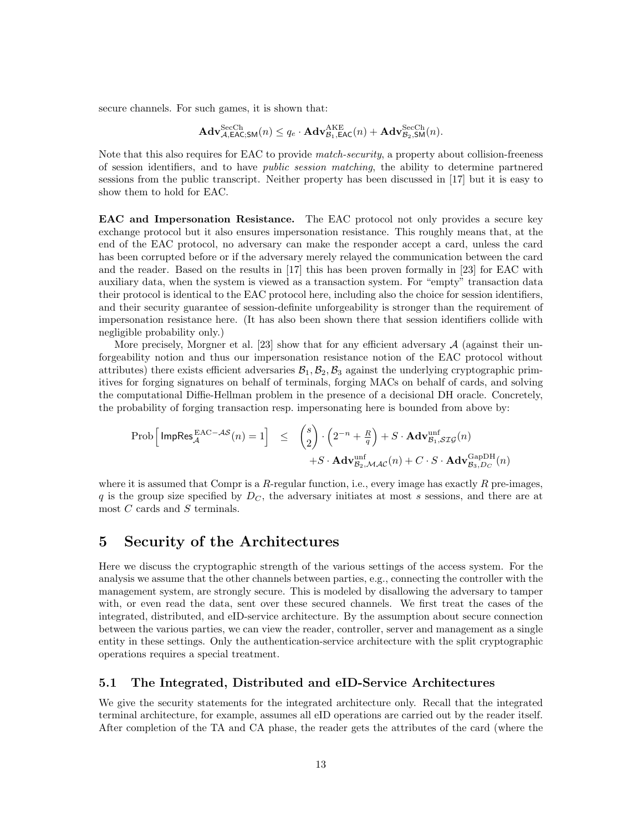secure channels. For such games, it is shown that:

$$
\mathbf{Adv}_{\mathcal{A}, \mathsf{EAC}; \mathsf{SM}}^{\text{SecCh}}(n) \leq q_e \cdot \mathbf{Adv}_{\mathcal{B}_1, \mathsf{EAC}}^{\text{AKE}}(n) + \mathbf{Adv}_{\mathcal{B}_2, \mathsf{SM}}^{\text{SecCh}}(n).
$$

Note that this also requires for EAC to provide match-security, a property about collision-freeness of session identifiers, and to have public session matching, the ability to determine partnered sessions from the public transcript. Neither property has been discussed in [17] but it is easy to show them to hold for EAC.

EAC and Impersonation Resistance. The EAC protocol not only provides a secure key exchange protocol but it also ensures impersonation resistance. This roughly means that, at the end of the EAC protocol, no adversary can make the responder accept a card, unless the card has been corrupted before or if the adversary merely relayed the communication between the card and the reader. Based on the results in [17] this has been proven formally in [23] for EAC with auxiliary data, when the system is viewed as a transaction system. For "empty" transaction data their protocol is identical to the EAC protocol here, including also the choice for session identifiers, and their security guarantee of session-definite unforgeability is stronger than the requirement of impersonation resistance here. (It has also been shown there that session identifiers collide with negligible probability only.)

More precisely, Morgner et al. [23] show that for any efficient adversary  $\mathcal A$  (against their unforgeability notion and thus our impersonation resistance notion of the EAC protocol without attributes) there exists efficient adversaries  $\mathcal{B}_1, \mathcal{B}_2, \mathcal{B}_3$  against the underlying cryptographic primitives for forging signatures on behalf of terminals, forging MACs on behalf of cards, and solving the computational Diffie-Hellman problem in the presence of a decisional DH oracle. Concretely, the probability of forging transaction resp. impersonating here is bounded from above by:

$$
\begin{array}{rcl} \mbox{Prob}\Big[\mbox{ImpRes}_{\mathcal{A}}^{\text{EAC}-\mathcal{AS}}(n)=1\Big] & \leq & \binom{s}{2}\cdot\Big(2^{-n}+\frac{R}{q}\Big)+S\cdot\mathbf{Adv}_{\mathcal{B}_1,\mathcal{SIG}}^{\text{unf}}(n) \\ & & \qquad \qquad + S\cdot\mathbf{Adv}_{\mathcal{B}_2,\mathcal{MAC}}^{\text{unf}}(n)+C\cdot S\cdot\mathbf{Adv}_{\mathcal{B}_3,\mathcal{D}_C}^{\text{GapDH}}(n) \end{array}
$$

where it is assumed that Compr is a R-regular function, i.e., every image has exactly  $R$  pre-images, q is the group size specified by  $D<sub>C</sub>$ , the adversary initiates at most s sessions, and there are at most  $C$  cards and  $S$  terminals.

### 5 Security of the Architectures

Here we discuss the cryptographic strength of the various settings of the access system. For the analysis we assume that the other channels between parties, e.g., connecting the controller with the management system, are strongly secure. This is modeled by disallowing the adversary to tamper with, or even read the data, sent over these secured channels. We first treat the cases of the integrated, distributed, and eID-service architecture. By the assumption about secure connection between the various parties, we can view the reader, controller, server and management as a single entity in these settings. Only the authentication-service architecture with the split cryptographic operations requires a special treatment.

### 5.1 The Integrated, Distributed and eID-Service Architectures

We give the security statements for the integrated architecture only. Recall that the integrated terminal architecture, for example, assumes all eID operations are carried out by the reader itself. After completion of the TA and CA phase, the reader gets the attributes of the card (where the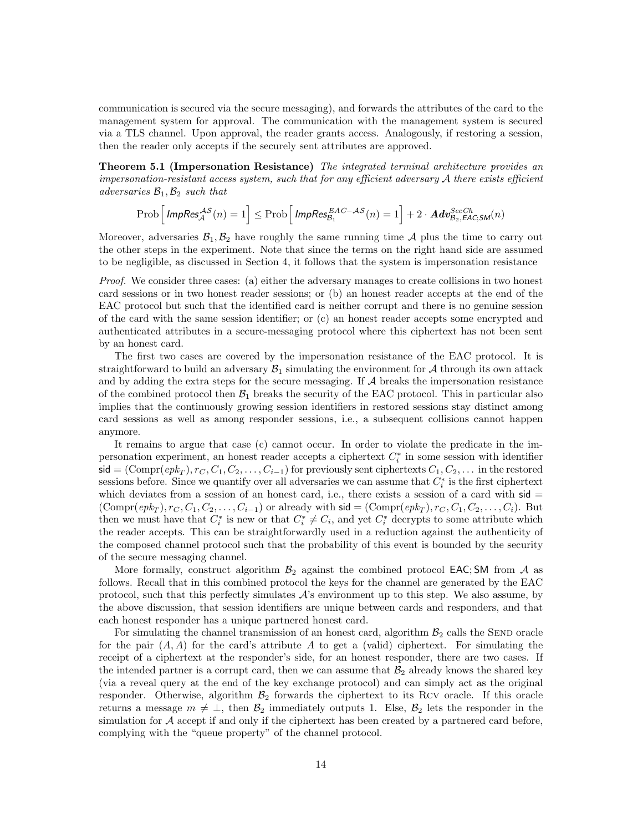communication is secured via the secure messaging), and forwards the attributes of the card to the management system for approval. The communication with the management system is secured via a TLS channel. Upon approval, the reader grants access. Analogously, if restoring a session, then the reader only accepts if the securely sent attributes are approved.

Theorem 5.1 (Impersonation Resistance) The integrated terminal architecture provides an impersonation-resistant access system, such that for any efficient adversary  $A$  there exists efficient adversaries  $\mathcal{B}_1, \mathcal{B}_2$  such that

$$
\textrm{Prob}\left[\textrm{ImpRes}_{\mathcal{A}}^{\mathcal{AS}}(n)=1\right]\leq\textrm{Prob}\left[\textrm{ ImpRes}_{\mathcal{B}_1}^{\mathit{EAC}-\mathcal{AS}}(n)=1\right]+2\cdot\mathbf{Adv}_{\mathcal{B}_2,\mathit{EAC};\mathit{SM}}^{\mathit{SecCh}}(n)
$$

Moreover, adversaries  $\mathcal{B}_1, \mathcal{B}_2$  have roughly the same running time A plus the time to carry out the other steps in the experiment. Note that since the terms on the right hand side are assumed to be negligible, as discussed in Section 4, it follows that the system is impersonation resistance

Proof. We consider three cases: (a) either the adversary manages to create collisions in two honest card sessions or in two honest reader sessions; or (b) an honest reader accepts at the end of the EAC protocol but such that the identified card is neither corrupt and there is no genuine session of the card with the same session identifier; or (c) an honest reader accepts some encrypted and authenticated attributes in a secure-messaging protocol where this ciphertext has not been sent by an honest card.

The first two cases are covered by the impersonation resistance of the EAC protocol. It is straightforward to build an adversary  $\mathcal{B}_1$  simulating the environment for  $\mathcal A$  through its own attack and by adding the extra steps for the secure messaging. If  $A$  breaks the impersonation resistance of the combined protocol then  $\mathcal{B}_1$  breaks the security of the EAC protocol. This in particular also implies that the continuously growing session identifiers in restored sessions stay distinct among card sessions as well as among responder sessions, i.e., a subsequent collisions cannot happen anymore.

It remains to argue that case (c) cannot occur. In order to violate the predicate in the impersonation experiment, an honest reader accepts a ciphertext  $C_i^*$  in some session with identifier  $\mathsf{sid} = (\mathrm{Compr}(epk_T), r_C, C_1, C_2, \ldots, C_{i-1})$  for previously sent ciphertexts  $C_1, C_2, \ldots$  in the restored sessions before. Since we quantify over all adversaries we can assume that  $C_i^*$  is the first ciphertext which deviates from a session of an honest card, i.e., there exists a session of a card with  $sid =$  $(\text{Compr}(epk_T), r_C, C_1, C_2, \ldots, C_{i-1})$  or already with  $\text{sid} = (\text{Compr}(epk_T), r_C, C_1, C_2, \ldots, C_i)$ . But then we must have that  $C_i^*$  is new or that  $C_i^* \neq C_i$ , and yet  $C_i^*$  decrypts to some attribute which the reader accepts. This can be straightforwardly used in a reduction against the authenticity of the composed channel protocol such that the probability of this event is bounded by the security of the secure messaging channel.

More formally, construct algorithm  $\mathcal{B}_2$  against the combined protocol EAC; SM from A as follows. Recall that in this combined protocol the keys for the channel are generated by the EAC protocol, such that this perfectly simulates  $\mathcal{A}$ 's environment up to this step. We also assume, by the above discussion, that session identifiers are unique between cards and responders, and that each honest responder has a unique partnered honest card.

For simulating the channel transmission of an honest card, algorithm  $B_2$  calls the SEND oracle for the pair  $(A, A)$  for the card's attribute A to get a (valid) ciphertext. For simulating the receipt of a ciphertext at the responder's side, for an honest responder, there are two cases. If the intended partner is a corrupt card, then we can assume that  $\mathcal{B}_2$  already knows the shared key (via a reveal query at the end of the key exchange protocol) and can simply act as the original responder. Otherwise, algorithm  $\mathcal{B}_2$  forwards the ciphertext to its Rcv oracle. If this oracle returns a message  $m \neq \perp$ , then  $\mathcal{B}_2$  immediately outputs 1. Else,  $\mathcal{B}_2$  lets the responder in the simulation for  $A$  accept if and only if the ciphertext has been created by a partnered card before, complying with the "queue property" of the channel protocol.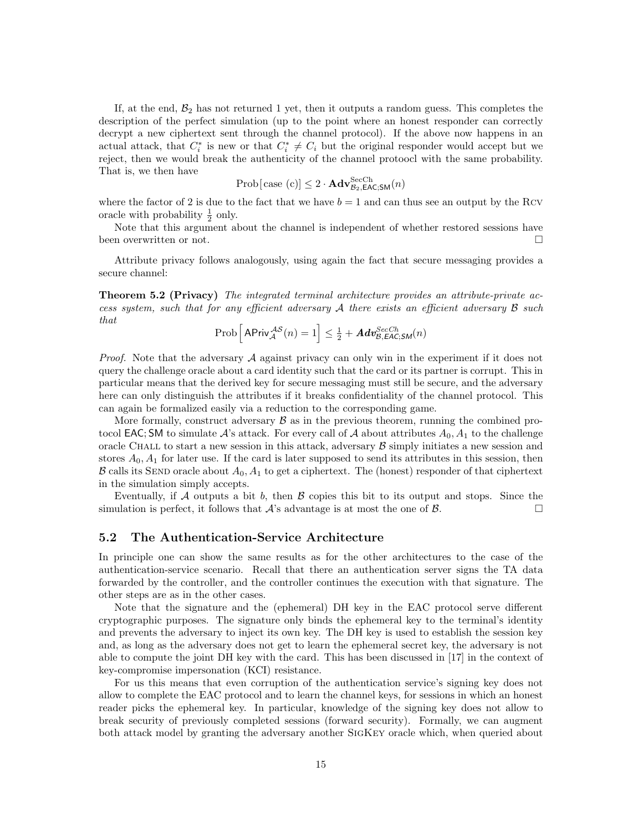If, at the end,  $\mathcal{B}_2$  has not returned 1 yet, then it outputs a random guess. This completes the description of the perfect simulation (up to the point where an honest responder can correctly decrypt a new ciphertext sent through the channel protocol). If the above now happens in an actual attack, that  $C_i^*$  is new or that  $C_i^* \neq C_i$  but the original responder would accept but we reject, then we would break the authenticity of the channel protoocl with the same probability. That is, we then have

$$
Prob[\text{case (c)}] \leq 2 \cdot \mathbf{Adv}_{\mathcal{B}_2, \mathsf{EAC}; \mathsf{SM}}^{\text{SecCh}}(n)
$$

where the factor of 2 is due to the fact that we have  $b = 1$  and can thus see an output by the RCV oracle with probability  $\frac{1}{2}$  only.

Note that this argument about the channel is independent of whether restored sessions have been overwritten or not.

Attribute privacy follows analogously, using again the fact that secure messaging provides a secure channel:

Theorem 5.2 (Privacy) The integrated terminal architecture provides an attribute-private access system, such that for any efficient adversary  $A$  there exists an efficient adversary  $B$  such that

$$
\operatorname{Prob}\left[\operatorname{APriv}_{\mathcal{A}}^{\mathcal{AS}}(n) = 1\right] \le \frac{1}{2} + \operatorname{Adv}_{\mathcal{B},\mathsf{EAC};\mathsf{SM}}^{\mathcal{S}\mathit{ecCh}}(n)
$$

*Proof.* Note that the adversary  $A$  against privacy can only win in the experiment if it does not query the challenge oracle about a card identity such that the card or its partner is corrupt. This in particular means that the derived key for secure messaging must still be secure, and the adversary here can only distinguish the attributes if it breaks confidentiality of the channel protocol. This can again be formalized easily via a reduction to the corresponding game.

More formally, construct adversary  $\beta$  as in the previous theorem, running the combined protocol EAC; SM to simulate  $\mathcal{A}$ 's attack. For every call of  $\mathcal{A}$  about attributes  $A_0$ ,  $A_1$  to the challenge oracle CHALL to start a new session in this attack, adversary  $\beta$  simply initiates a new session and stores  $A_0$ ,  $A_1$  for later use. If the card is later supposed to send its attributes in this session, then  $\mathcal B$  calls its SEND oracle about  $A_0, A_1$  to get a ciphertext. The (honest) responder of that ciphertext in the simulation simply accepts.

Eventually, if  $\mathcal A$  outputs a bit b, then  $\mathcal B$  copies this bit to its output and stops. Since the simulation is perfect, it follows that  $\mathcal{A}$ 's advantage is at most the one of  $\mathcal{B}$ .

### 5.2 The Authentication-Service Architecture

In principle one can show the same results as for the other architectures to the case of the authentication-service scenario. Recall that there an authentication server signs the TA data forwarded by the controller, and the controller continues the execution with that signature. The other steps are as in the other cases.

Note that the signature and the (ephemeral) DH key in the EAC protocol serve different cryptographic purposes. The signature only binds the ephemeral key to the terminal's identity and prevents the adversary to inject its own key. The DH key is used to establish the session key and, as long as the adversary does not get to learn the ephemeral secret key, the adversary is not able to compute the joint DH key with the card. This has been discussed in [17] in the context of key-compromise impersonation (KCI) resistance.

For us this means that even corruption of the authentication service's signing key does not allow to complete the EAC protocol and to learn the channel keys, for sessions in which an honest reader picks the ephemeral key. In particular, knowledge of the signing key does not allow to break security of previously completed sessions (forward security). Formally, we can augment both attack model by granting the adversary another SigKey oracle which, when queried about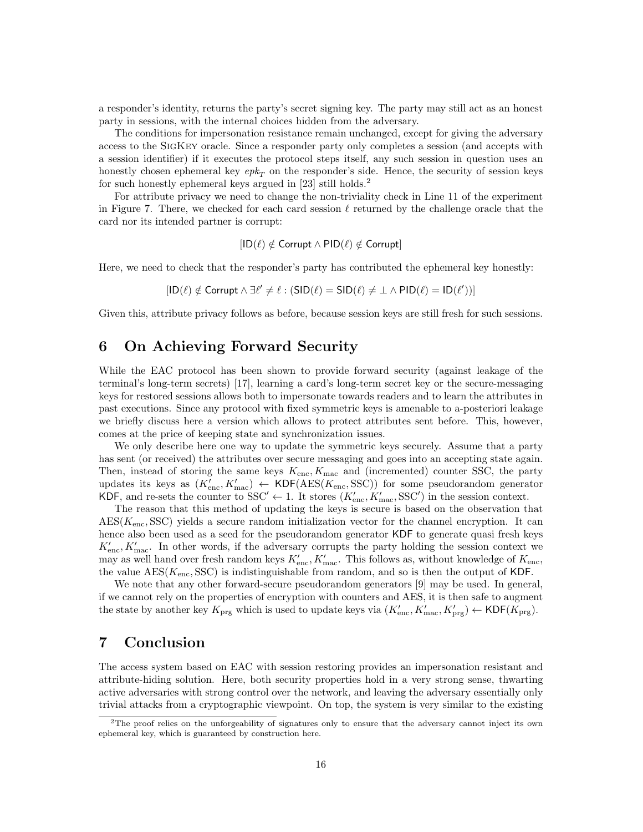a responder's identity, returns the party's secret signing key. The party may still act as an honest party in sessions, with the internal choices hidden from the adversary.

The conditions for impersonation resistance remain unchanged, except for giving the adversary access to the SigKey oracle. Since a responder party only completes a session (and accepts with a session identifier) if it executes the protocol steps itself, any such session in question uses an honestly chosen ephemeral key  $epk<sub>T</sub>$  on the responder's side. Hence, the security of session keys for such honestly ephemeral keys argued in [23] still holds.<sup>2</sup>

For attribute privacy we need to change the non-triviality check in Line 11 of the experiment in Figure 7. There, we checked for each card session  $\ell$  returned by the challenge oracle that the card nor its intended partner is corrupt:

$$
[ID(\ell) \notin \text{Corrupt} \land \text{PID}(\ell) \notin \text{Corrupt}]
$$

Here, we need to check that the responder's party has contributed the ephemeral key honestly:

 $[ID(\ell) \notin \text{Corrupt} \land \exists \ell' \neq \ell : (SID(\ell) = SID(\ell) \neq \bot \land PID(\ell) = ID(\ell'))]$ 

Given this, attribute privacy follows as before, because session keys are still fresh for such sessions.

# 6 On Achieving Forward Security

While the EAC protocol has been shown to provide forward security (against leakage of the terminal's long-term secrets) [17], learning a card's long-term secret key or the secure-messaging keys for restored sessions allows both to impersonate towards readers and to learn the attributes in past executions. Since any protocol with fixed symmetric keys is amenable to a-posteriori leakage we briefly discuss here a version which allows to protect attributes sent before. This, however, comes at the price of keeping state and synchronization issues.

We only describe here one way to update the symmetric keys securely. Assume that a party has sent (or received) the attributes over secure messaging and goes into an accepting state again. Then, instead of storing the same keys  $K_{\text{enc}}$ ,  $K_{\text{mac}}$  and (incremented) counter SSC, the party updates its keys as  $(K'_{enc}, K'_{mac}) \leftarrow \text{KDF}(AES(K_{enc}, SSC))$  for some pseudorandom generator KDF, and re-sets the counter to SSC'  $\leftarrow$  1. It stores  $(K'_{enc}, K'_{mac}, \text{SSC}')$  in the session context.

The reason that this method of updating the keys is secure is based on the observation that  $\text{AES}(K_{\text{enc}}, \text{SSC})$  yields a secure random initialization vector for the channel encryption. It can hence also been used as a seed for the pseudorandom generator KDF to generate quasi fresh keys  $K'_{\text{enc}}$ ,  $K'_{\text{mac}}$ . In other words, if the adversary corrupts the party holding the session context we may as well hand over fresh random keys  $K'_{\text{enc}}$ ,  $K'_{\text{mac}}$ . This follows as, without knowledge of  $K_{\text{enc}}$ , the value  $\text{AES}(K_{\text{enc}}, \text{SSC})$  is indistinguishable from random, and so is then the output of KDF.

We note that any other forward-secure pseudorandom generators [9] may be used. In general, if we cannot rely on the properties of encryption with counters and AES, it is then safe to augment the state by another key  $K_{\text{prg}}$  which is used to update keys via  $(K'_{\text{enc}}, K'_{\text{mac}}, K'_{\text{prg}}) \leftarrow \text{KDF}(K_{\text{prg}})$ .

# 7 Conclusion

The access system based on EAC with session restoring provides an impersonation resistant and attribute-hiding solution. Here, both security properties hold in a very strong sense, thwarting active adversaries with strong control over the network, and leaving the adversary essentially only trivial attacks from a cryptographic viewpoint. On top, the system is very similar to the existing

<sup>2</sup>The proof relies on the unforgeability of signatures only to ensure that the adversary cannot inject its own ephemeral key, which is guaranteed by construction here.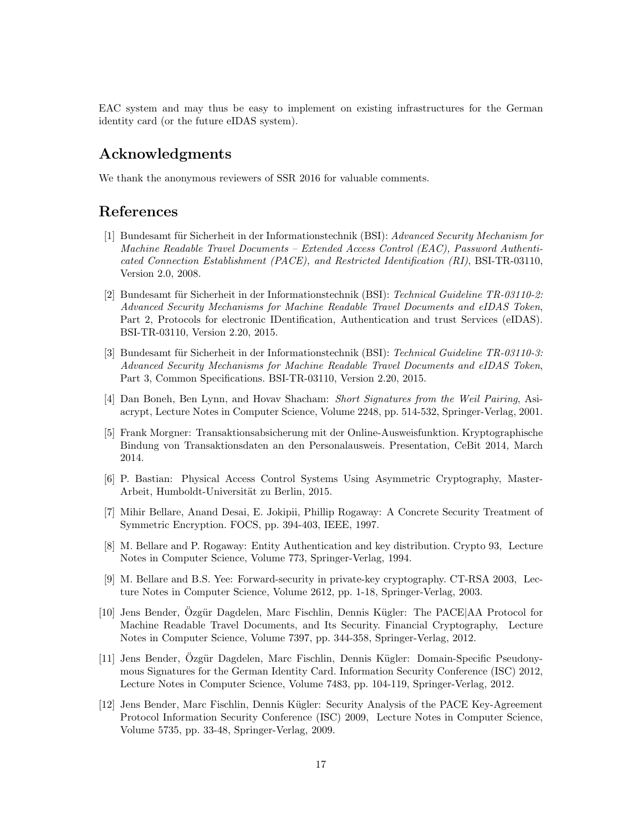EAC system and may thus be easy to implement on existing infrastructures for the German identity card (or the future eIDAS system).

## Acknowledgments

We thank the anonymous reviewers of SSR 2016 for valuable comments.

# References

- [1] Bundesamt für Sicherheit in der Informationstechnik (BSI): Advanced Security Mechanism for Machine Readable Travel Documents – Extended Access Control (EAC), Password Authenticated Connection Establishment (PACE), and Restricted Identification (RI), BSI-TR-03110, Version 2.0, 2008.
- [2] Bundesamt für Sicherheit in der Informationstechnik (BSI): Technical Guideline TR-03110-2: Advanced Security Mechanisms for Machine Readable Travel Documents and eIDAS Token, Part 2, Protocols for electronic IDentification, Authentication and trust Services (eIDAS). BSI-TR-03110, Version 2.20, 2015.
- [3] Bundesamt für Sicherheit in der Informationstechnik (BSI): Technical Guideline TR-03110-3: Advanced Security Mechanisms for Machine Readable Travel Documents and eIDAS Token, Part 3, Common Specifications. BSI-TR-03110, Version 2.20, 2015.
- [4] Dan Boneh, Ben Lynn, and Hovav Shacham: Short Signatures from the Weil Pairing, Asiacrypt, Lecture Notes in Computer Science, Volume 2248, pp. 514-532, Springer-Verlag, 2001.
- [5] Frank Morgner: Transaktionsabsicherung mit der Online-Ausweisfunktion. Kryptographische Bindung von Transaktionsdaten an den Personalausweis. Presentation, CeBit 2014, March 2014.
- [6] P. Bastian: Physical Access Control Systems Using Asymmetric Cryptography, Master-Arbeit, Humboldt-Universität zu Berlin, 2015.
- [7] Mihir Bellare, Anand Desai, E. Jokipii, Phillip Rogaway: A Concrete Security Treatment of Symmetric Encryption. FOCS, pp. 394-403, IEEE, 1997.
- [8] M. Bellare and P. Rogaway: Entity Authentication and key distribution. Crypto 93, Lecture Notes in Computer Science, Volume 773, Springer-Verlag, 1994.
- [9] M. Bellare and B.S. Yee: Forward-security in private-key cryptography. CT-RSA 2003, Lecture Notes in Computer Science, Volume 2612, pp. 1-18, Springer-Verlag, 2003.
- [10] Jens Bender, Ozgür Dagdelen, Marc Fischlin, Dennis Kügler: The PACE |AA Protocol for Machine Readable Travel Documents, and Its Security. Financial Cryptography, Lecture Notes in Computer Science, Volume 7397, pp. 344-358, Springer-Verlag, 2012.
- [11] Jens Bender, Özgür Dagdelen, Marc Fischlin, Dennis Kügler: Domain-Specific Pseudonymous Signatures for the German Identity Card. Information Security Conference (ISC) 2012, Lecture Notes in Computer Science, Volume 7483, pp. 104-119, Springer-Verlag, 2012.
- [12] Jens Bender, Marc Fischlin, Dennis Kügler: Security Analysis of the PACE Key-Agreement Protocol Information Security Conference (ISC) 2009, Lecture Notes in Computer Science, Volume 5735, pp. 33-48, Springer-Verlag, 2009.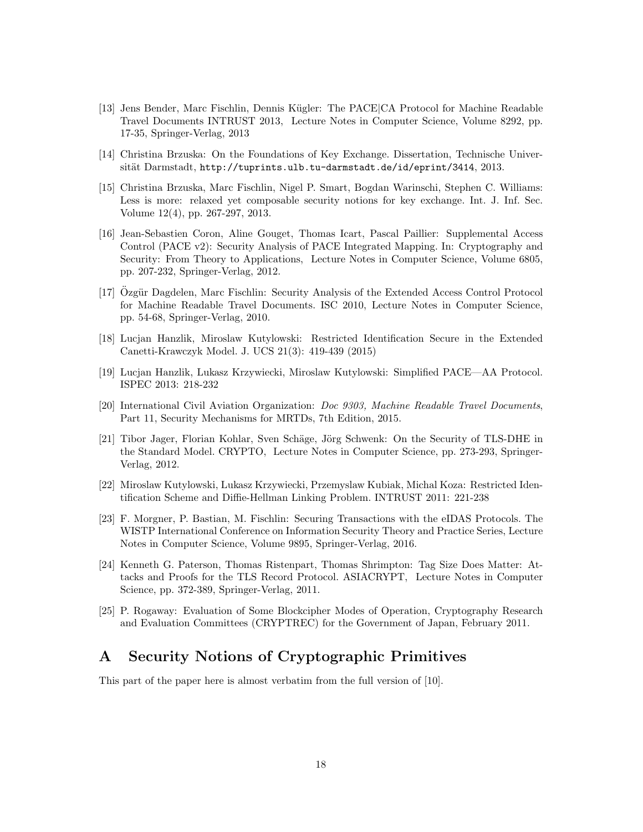- [13] Jens Bender, Marc Fischlin, Dennis Kügler: The PACE|CA Protocol for Machine Readable Travel Documents INTRUST 2013, Lecture Notes in Computer Science, Volume 8292, pp. 17-35, Springer-Verlag, 2013
- [14] Christina Brzuska: On the Foundations of Key Exchange. Dissertation, Technische Universität Darmstadt, http://tuprints.ulb.tu-darmstadt.de/id/eprint/3414, 2013.
- [15] Christina Brzuska, Marc Fischlin, Nigel P. Smart, Bogdan Warinschi, Stephen C. Williams: Less is more: relaxed yet composable security notions for key exchange. Int. J. Inf. Sec. Volume 12(4), pp. 267-297, 2013.
- [16] Jean-Sebastien Coron, Aline Gouget, Thomas Icart, Pascal Paillier: Supplemental Access Control (PACE v2): Security Analysis of PACE Integrated Mapping. In: Cryptography and Security: From Theory to Applications, Lecture Notes in Computer Science, Volume 6805, pp. 207-232, Springer-Verlag, 2012.
- [17] Ozgür Dagdelen, Marc Fischlin: Security Analysis of the Extended Access Control Protocol for Machine Readable Travel Documents. ISC 2010, Lecture Notes in Computer Science, pp. 54-68, Springer-Verlag, 2010.
- [18] Lucjan Hanzlik, Miroslaw Kutylowski: Restricted Identification Secure in the Extended Canetti-Krawczyk Model. J. UCS 21(3): 419-439 (2015)
- [19] Lucjan Hanzlik, Lukasz Krzywiecki, Miroslaw Kutylowski: Simplified PACE—AA Protocol. ISPEC 2013: 218-232
- [20] International Civil Aviation Organization: Doc 9303, Machine Readable Travel Documents, Part 11, Security Mechanisms for MRTDs, 7th Edition, 2015.
- [21] Tibor Jager, Florian Kohlar, Sven Schäge, Jörg Schwenk: On the Security of TLS-DHE in the Standard Model. CRYPTO, Lecture Notes in Computer Science, pp. 273-293, Springer-Verlag, 2012.
- [22] Miroslaw Kutylowski, Lukasz Krzywiecki, Przemyslaw Kubiak, Michal Koza: Restricted Identification Scheme and Diffie-Hellman Linking Problem. INTRUST 2011: 221-238
- [23] F. Morgner, P. Bastian, M. Fischlin: Securing Transactions with the eIDAS Protocols. The WISTP International Conference on Information Security Theory and Practice Series, Lecture Notes in Computer Science, Volume 9895, Springer-Verlag, 2016.
- [24] Kenneth G. Paterson, Thomas Ristenpart, Thomas Shrimpton: Tag Size Does Matter: Attacks and Proofs for the TLS Record Protocol. ASIACRYPT, Lecture Notes in Computer Science, pp. 372-389, Springer-Verlag, 2011.
- [25] P. Rogaway: Evaluation of Some Blockcipher Modes of Operation, Cryptography Research and Evaluation Committees (CRYPTREC) for the Government of Japan, February 2011.

# A Security Notions of Cryptographic Primitives

This part of the paper here is almost verbatim from the full version of [10].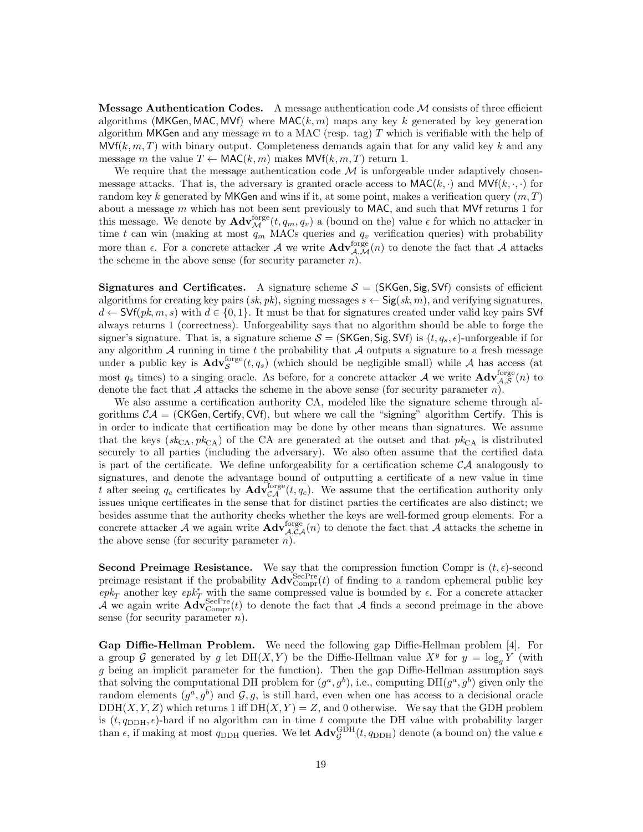**Message Authentication Codes.** A message authentication code  $M$  consists of three efficient algorithms (MKGen, MAC, MVf) where  $MAC(k, m)$  maps any key k generated by key generation algorithm MKGen and any message m to a MAC (resp. tag) T which is verifiable with the help of  $\text{MVf}(k, m, T)$  with binary output. Completeness demands again that for any valid key k and any message m the value  $T \leftarrow \text{MAC}(k, m)$  makes  $\text{MVf}(k, m, T)$  return 1.

We require that the message authentication code  $\mathcal M$  is unforgeable under adaptively chosenmessage attacks. That is, the adversary is granted oracle access to  $\textsf{MAC}(k, \cdot)$  and  $\textsf{MVf}(k, \cdot, \cdot)$  for random key k generated by MKGen and wins if it, at some point, makes a verification query  $(m, T)$ about a message  $m$  which has not been sent previously to MAC, and such that MVf returns 1 for this message. We denote by  $\mathbf{Adv}_{\mathcal{M}}^{\text{forget}}(t, q_m, q_v)$  a (bound on the) value  $\epsilon$  for which no attacker in time t can win (making at most  $q_m$  MACs queries and  $q_v$  verification queries) with probability more than  $\epsilon$ . For a concrete attacker A we write  $\mathbf{Adv}_{\mathcal{A},\mathcal{M}}^{\text{forget}}(n)$  to denote the fact that A attacks the scheme in the above sense (for security parameter  $n$ ).

**Signatures and Certificates.** A signature scheme  $S = (SKGen, Sig, SVf)$  consists of efficient algorithms for creating key pairs  $(sk, pk)$ , signing messages  $s \leftarrow \text{Sig}(sk, m)$ , and verifying signatures,  $d \leftarrow \mathsf{SVf}(pk, m, s)$  with  $d \in \{0, 1\}$ . It must be that for signatures created under valid key pairs SVf always returns 1 (correctness). Unforgeability says that no algorithm should be able to forge the signer's signature. That is, a signature scheme  $S = (SKGen, Sig, SVf)$  is  $(t, q_s, \epsilon)$ -unforgeable if for any algorithm  $A$  running in time t the probability that  $A$  outputs a signature to a fresh message under a public key is  $\mathbf{Adv}_{\mathcal{S}}^{\text{torge}}(t, q_s)$  (which should be negligible small) while A has access (at most  $q_s$  times) to a singing oracle. As before, for a concrete attacker A we write  $\text{Adv}_{\mathcal{A},\mathcal{S}}^{\text{forget}}(n)$  to denote the fact that  $A$  attacks the scheme in the above sense (for security parameter  $n$ ).

We also assume a certification authority CA, modeled like the signature scheme through algorithms  $CA = (CKGen, Certify, CVf)$ , but where we call the "signing" algorithm Certify. This is in order to indicate that certification may be done by other means than signatures. We assume that the keys ( $sk_{\text{CA}}$ ,  $pk_{\text{CA}}$ ) of the CA are generated at the outset and that  $pk_{\text{CA}}$  is distributed securely to all parties (including the adversary). We also often assume that the certified data is part of the certificate. We define unforgeability for a certification scheme  $\mathcal{CA}$  analogously to signatures, and denote the advantage bound of outputting a certificate of a new value in time t after seeing  $q_c$  certificates by  $\mathbf{Adv}_{\mathcal{CA}}^{\text{forget}}(t, q_c)$ . We assume that the certification authority only issues unique certificates in the sense that for distinct parties the certificates are also distinct; we besides assume that the authority checks whether the keys are well-formed group elements. For a concrete attacker A we again write  $\mathbf{Adv}_{\mathcal{A},\mathcal{CA}}^{\text{forget}}(n)$  to denote the fact that A attacks the scheme in the above sense (for security parameter  $\hat{n}$ ).

**Second Preimage Resistance.** We say that the compression function Compr is  $(t, \epsilon)$ -second preimage resistant if the probability  $\mathbf{Adv}^{\text{SecPre}}_{\text{Compr}}(t)$  of finding to a random ephemeral public key  $e p k_T$  another key  $e p k_T^*$  with the same compressed value is bounded by  $\epsilon$ . For a concrete attacker A we again write  $\mathbf{Adv}^{\text{SecPre}}_{\text{Comp}}(t)$  to denote the fact that A finds a second preimage in the above sense (for security parameter  $n$ ).

Gap Diffie-Hellman Problem. We need the following gap Diffie-Hellman problem [4]. For a group G generated by g let  $DH(X, Y)$  be the Diffie-Hellman value  $X^y$  for  $y = \log_g Y$  (with g being an implicit parameter for the function). Then the gap Diffie-Hellman assumption says that solving the computational DH problem for  $(g^a, g^b)$ , i.e., computing DH $(g^a, g^b)$  given only the random elements  $(g^a, g^b)$  and  $\mathcal{G}, g$ , is still hard, even when one has access to a decisional oracle  $DDH(X, Y, Z)$  which returns 1 iff  $DH(X, Y) = Z$ , and 0 otherwise. We say that the GDH problem is  $(t, q_{\text{DDH}}, \epsilon)$ -hard if no algorithm can in time t compute the DH value with probability larger than  $\epsilon$ , if making at most  $q_{\text{DDH}}$  queries. We let  $\text{Adv}_{\mathcal{G}}^{\text{GDH}}(t, q_{\text{DDH}})$  denote (a bound on) the value  $\epsilon$